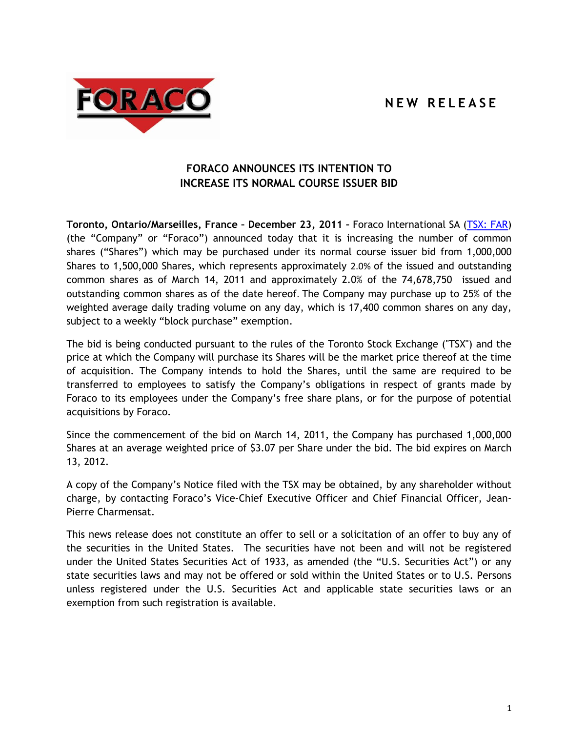## **N E W R E L E A S E**



## **FORACO ANNOUNCES ITS INTENTION TO INCREASE ITS NORMAL COURSE ISSUER BID**

**Toronto, Ontario/Marseilles, France – December 23, 2011 –** Foraco International SA [\(TSX: FAR\)](http://tmx.quotemedia.com/quote.php?qm_symbol=FAR&locale=EN) (the "Company" or "Foraco") announced today that it is increasing the number of common shares ("Shares") which may be purchased under its normal course issuer bid from 1,000,000 Shares to 1,500,000 Shares, which represents approximately 2.0% of the issued and outstanding common shares as of March 14, 2011 and approximately 2.0% of the 74,678,750 issued and outstanding common shares as of the date hereof. The Company may purchase up to 25% of the weighted average daily trading volume on any day, which is 17,400 common shares on any day, subject to a weekly "block purchase" exemption.

The bid is being conducted pursuant to the rules of the Toronto Stock Exchange ("TSX") and the price at which the Company will purchase its Shares will be the market price thereof at the time of acquisition. The Company intends to hold the Shares, until the same are required to be transferred to employees to satisfy the Company's obligations in respect of grants made by Foraco to its employees under the Company's free share plans, or for the purpose of potential acquisitions by Foraco.

Since the commencement of the bid on March 14, 2011, the Company has purchased 1,000,000 Shares at an average weighted price of \$3.07 per Share under the bid. The bid expires on March 13, 2012.

A copy of the Company's Notice filed with the TSX may be obtained, by any shareholder without charge, by contacting Foraco's Vice-Chief Executive Officer and Chief Financial Officer, Jean-Pierre Charmensat.

This news release does not constitute an offer to sell or a solicitation of an offer to buy any of the securities in the United States. The securities have not been and will not be registered under the United States Securities Act of 1933, as amended (the "U.S. Securities Act") or any state securities laws and may not be offered or sold within the United States or to U.S. Persons unless registered under the U.S. Securities Act and applicable state securities laws or an exemption from such registration is available.